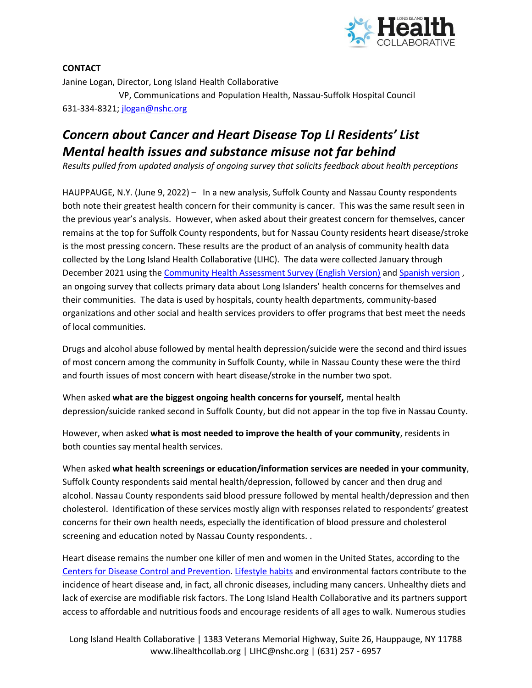

**CONTACT** Janine Logan, Director, Long Island Health Collaborative VP, Communications and Population Health, Nassau-Suffolk Hospital Council 631-334-8321; [jlogan@nshc.org](mailto:jlogan@nshc.org)

## *Concern about Cancer and Heart Disease Top LI Residents' List Mental health issues and substance misuse not far behind*

*Results pulled from updated analysis of ongoing survey that solicits feedback about health perceptions*

HAUPPAUGE, N.Y. (June 9, 2022) – In a new analysis, Suffolk County and Nassau County respondents both note their greatest health concern for their community is cancer. This was the same result seen in the previous year's analysis. However, when asked about their greatest concern for themselves, cancer remains at the top for Suffolk County respondents, but for Nassau County residents heart disease/stroke is the most pressing concern. These results are the product of an analysis of community health data collected by the Long Island Health Collaborative (LIHC). The data were collected January through December 2021 using the [Community Health Assessment Survey \(English Version\)](https://www.surveymonkey.com/r/CMLICHAS) an[d Spanish version](https://es.surveymonkey.com/r/CMSLICHAS) , an ongoing survey that collects primary data about Long Islanders' health concerns for themselves and their communities. The data is used by hospitals, county health departments, community-based organizations and other social and health services providers to offer programs that best meet the needs of local communities.

Drugs and alcohol abuse followed by mental health depression/suicide were the second and third issues of most concern among the community in Suffolk County, while in Nassau County these were the third and fourth issues of most concern with heart disease/stroke in the number two spot.

When asked **what are the biggest ongoing health concerns for yourself,** mental health depression/suicide ranked second in Suffolk County, but did not appear in the top five in Nassau County.

However, when asked **what is most needed to improve the health of your community**, residents in both counties say mental health services.

When asked **what health screenings or education/information services are needed in your community**, Suffolk County respondents said mental health/depression, followed by cancer and then drug and alcohol. Nassau County respondents said blood pressure followed by mental health/depression and then cholesterol. Identification of these services mostly align with responses related to respondents' greatest concerns for their own health needs, especially the identification of blood pressure and cholesterol screening and education noted by Nassau County respondents. .

Heart disease remains the number one killer of men and women in the United States, according to the [Centers for Disease Control and Prevention.](https://www.cdc.gov/heartdisease/facts.htm) [Lifestyle habits](https://www.cancer.gov/about-cancer/causes-prevention/risk) and environmental factors contribute to the incidence of heart disease and, in fact, all chronic diseases, including many cancers. Unhealthy diets and lack of exercise are modifiable risk factors. The Long Island Health Collaborative and its partners support access to affordable and nutritious foods and encourage residents of all ages to walk. Numerous studies

Long Island Health Collaborative | 1383 Veterans Memorial Highway, Suite 26, Hauppauge, NY 11788 www.lihealthcollab.org | LIHC@nshc.org | (631) 257 - 6957